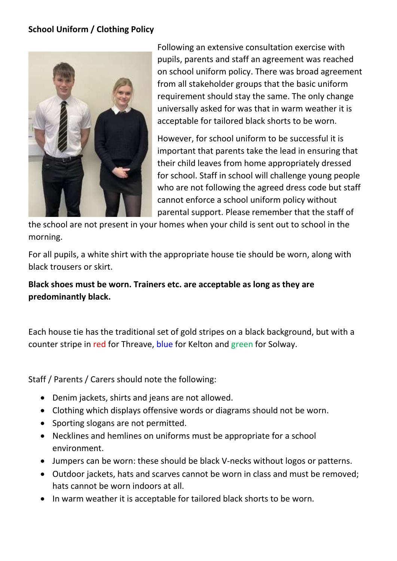## **School Uniform / Clothing Policy**



Following an extensive consultation exercise with pupils, parents and staff an agreement was reached on school uniform policy. There was broad agreement from all stakeholder groups that the basic uniform requirement should stay the same. The only change universally asked for was that in warm weather it is acceptable for tailored black shorts to be worn.

However, for school uniform to be successful it is important that parents take the lead in ensuring that their child leaves from home appropriately dressed for school. Staff in school will challenge young people who are not following the agreed dress code but staff cannot enforce a school uniform policy without parental support. Please remember that the staff of

the school are not present in your homes when your child is sent out to school in the morning.

For all pupils, a white shirt with the appropriate house tie should be worn, along with black trousers or skirt.

## **Black shoes must be worn. Trainers etc. are acceptable as long as they are predominantly black.**

Each house tie has the traditional set of gold stripes on a black background, but with a counter stripe in red for Threave, blue for Kelton and green for Solway.

Staff / Parents / Carers should note the following:

- Denim jackets, shirts and jeans are not allowed.
- Clothing which displays offensive words or diagrams should not be worn.
- Sporting slogans are not permitted.
- Necklines and hemlines on uniforms must be appropriate for a school environment.
- Jumpers can be worn: these should be black V-necks without logos or patterns.
- Outdoor jackets, hats and scarves cannot be worn in class and must be removed; hats cannot be worn indoors at all.
- In warm weather it is acceptable for tailored black shorts to be worn.